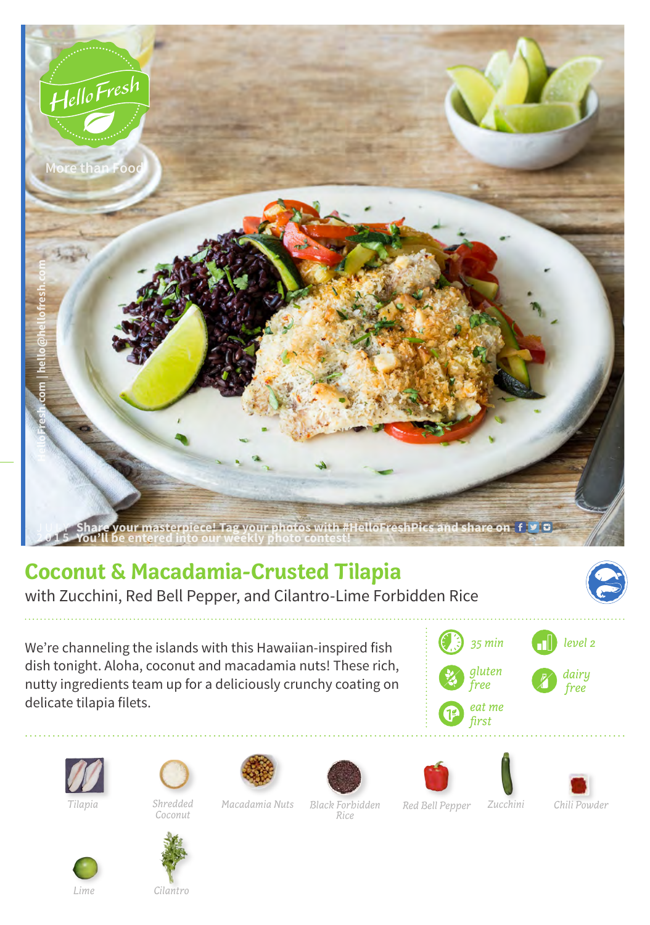

## **Coconut & Macadamia-Crusted Tilapia**

with Zucchini, Red Bell Pepper, and Cilantro-Lime Forbidden Rice



We're channeling the islands with this Hawaiian-inspired fish dish tonight. Aloha, coconut and macadamia nuts! These rich, nutty ingredients team up for a deliciously crunchy coating on delicate tilapia filets.









*Tilapia Macadamia Nuts Zucchini Chili Powder* 











*Lime*